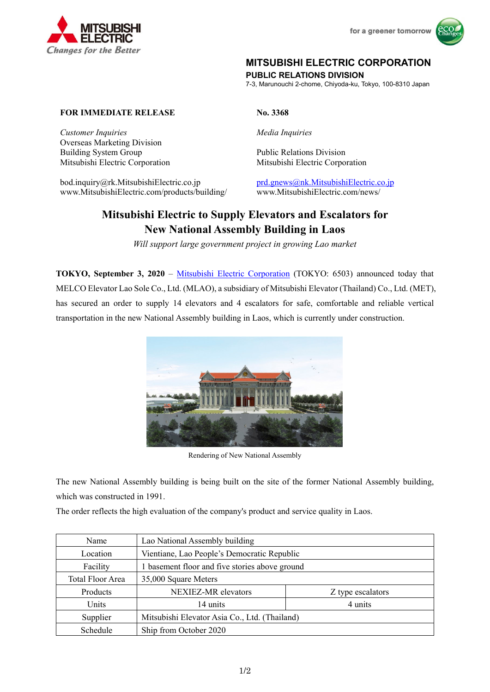



# **MITSUBISHI ELECTRIC CORPORATION**

**PUBLIC RELATIONS DIVISION** 

7-3, Marunouchi 2-chome, Chiyoda-ku, Tokyo, 100-8310 Japan

## **FOR IMMEDIATE RELEASE No. 3368**

*Customer Inquiries Media Inquiries*  Overseas Marketing Division Building System Group Public Relations Division Mitsubishi Electric Corporation Mitsubishi Electric Corporation

bod.inquiry@rk.MitsubishiElectric.co.jp prd.gnews@nk.MitsubishiElectric.co.jp www.MitsubishiElectric.com/products/building/ www.MitsubishiElectric.com/news/

# **Mitsubishi Electric to Supply Elevators and Escalators for New National Assembly Building in Laos**

*Will support large government project in growing Lao market* 

**TOKYO, September 3, 2020** – Mitsubishi Electric Corporation (TOKYO: 6503) announced today that MELCO Elevator Lao Sole Co., Ltd. (MLAO), a subsidiary of Mitsubishi Elevator (Thailand) Co., Ltd. (MET), has secured an order to supply 14 elevators and 4 escalators for safe, comfortable and reliable vertical transportation in the new National Assembly building in Laos, which is currently under construction.



Rendering of New National Assembly

The new National Assembly building is being built on the site of the former National Assembly building, which was constructed in 1991.

The order reflects the high evaluation of the company's product and service quality in Laos.

| Name             | Lao National Assembly building                 |                   |
|------------------|------------------------------------------------|-------------------|
| Location         | Vientiane, Lao People's Democratic Republic    |                   |
| Facility         | 1 basement floor and five stories above ground |                   |
| Total Floor Area | 35,000 Square Meters                           |                   |
| Products         | NEXIEZ-MR elevators                            | Z type escalators |
| Units            | 14 units                                       | 4 units           |
| Supplier         | Mitsubishi Elevator Asia Co., Ltd. (Thailand)  |                   |
| Schedule         | Ship from October 2020                         |                   |